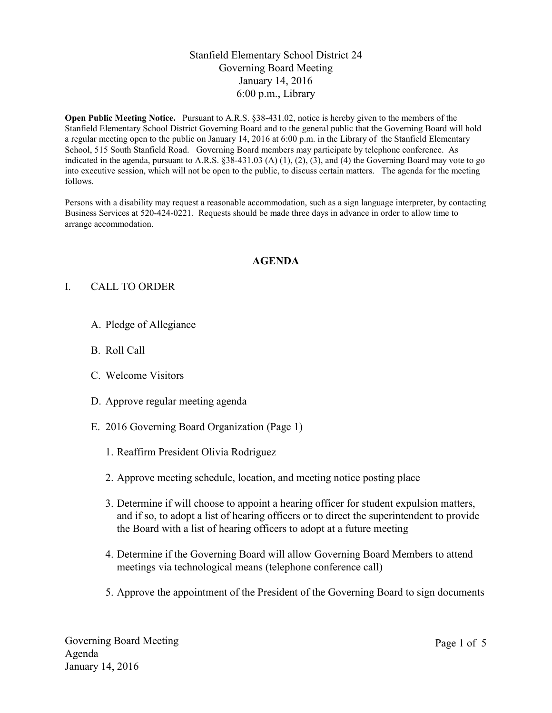## Stanfield Elementary School District 24 Governing Board Meeting January 14, 2016 6:00 p.m., Library

**Open Public Meeting Notice.** Pursuant to A.R.S. §38-431.02, notice is hereby given to the members of the Stanfield Elementary School District Governing Board and to the general public that the Governing Board will hold a regular meeting open to the public on January 14, 2016 at 6:00 p.m. in the Library of the Stanfield Elementary School, 515 South Stanfield Road. Governing Board members may participate by telephone conference. As indicated in the agenda, pursuant to A.R.S.  $\S 38-431.03$  (A) (1), (2), (3), and (4) the Governing Board may vote to go into executive session, which will not be open to the public, to discuss certain matters. The agenda for the meeting follows.

Persons with a disability may request a reasonable accommodation, such as a sign language interpreter, by contacting Business Services at 520-424-0221. Requests should be made three days in advance in order to allow time to arrange accommodation.

#### **AGENDA**

## I. CALL TO ORDER

- A. Pledge of Allegiance
- B. Roll Call
- C. Welcome Visitors
- D. Approve regular meeting agenda
- E. 2016 Governing Board Organization (Page 1)
	- 1. Reaffirm President Olivia Rodriguez
	- 2. Approve meeting schedule, location, and meeting notice posting place
	- 3. Determine if will choose to appoint a hearing officer for student expulsion matters, and if so, to adopt a list of hearing officers or to direct the superintendent to provide the Board with a list of hearing officers to adopt at a future meeting
	- 4. Determine if the Governing Board will allow Governing Board Members to attend meetings via technological means (telephone conference call)
	- 5. Approve the appointment of the President of the Governing Board to sign documents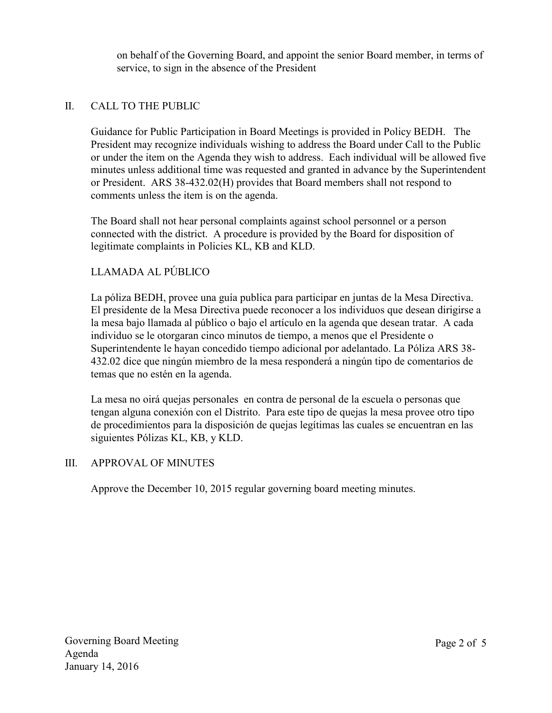on behalf of the Governing Board, and appoint the senior Board member, in terms of service, to sign in the absence of the President

# II. CALL TO THE PUBLIC

Guidance for Public Participation in Board Meetings is provided in Policy BEDH. The President may recognize individuals wishing to address the Board under Call to the Public or under the item on the Agenda they wish to address. Each individual will be allowed five minutes unless additional time was requested and granted in advance by the Superintendent or President. ARS 38-432.02(H) provides that Board members shall not respond to comments unless the item is on the agenda.

The Board shall not hear personal complaints against school personnel or a person connected with the district. A procedure is provided by the Board for disposition of legitimate complaints in Policies KL, KB and KLD.

# LLAMADA AL PÚBLICO

La póliza BEDH, provee una guía publica para participar en juntas de la Mesa Directiva. El presidente de la Mesa Directiva puede reconocer a los individuos que desean dirigirse a la mesa bajo llamada al público o bajo el artículo en la agenda que desean tratar. A cada individuo se le otorgaran cinco minutos de tiempo, a menos que el Presidente o Superintendente le hayan concedido tiempo adicional por adelantado. La Póliza ARS 38- 432.02 dice que ningún miembro de la mesa responderá a ningún tipo de comentarios de temas que no estén en la agenda.

La mesa no oirá quejas personales en contra de personal de la escuela o personas que tengan alguna conexión con el Distrito. Para este tipo de quejas la mesa provee otro tipo de procedimientos para la disposición de quejas legítimas las cuales se encuentran en las siguientes Pólizas KL, KB, y KLD.

## III. APPROVAL OF MINUTES

Approve the December 10, 2015 regular governing board meeting minutes.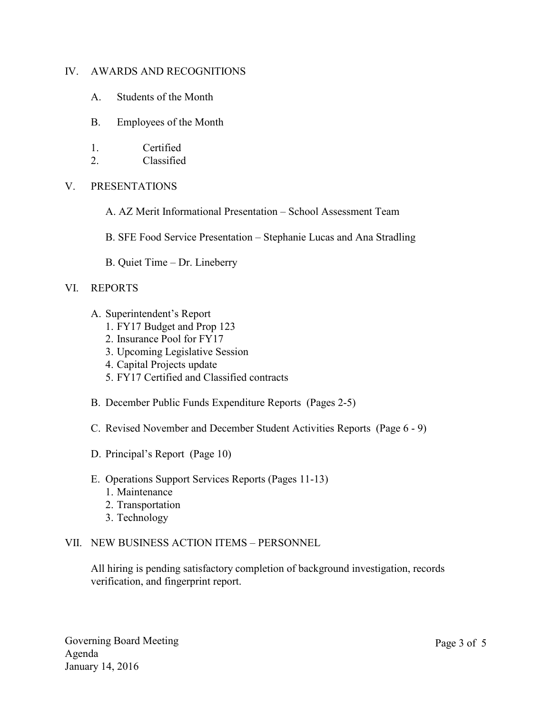### IV. AWARDS AND RECOGNITIONS

- A. Students of the Month
- B. Employees of the Month
- 1. Certified
- 2. Classified

### V. PRESENTATIONS

- A. AZ Merit Informational Presentation School Assessment Team
- B. SFE Food Service Presentation Stephanie Lucas and Ana Stradling
- B. Quiet Time Dr. Lineberry

### VI. REPORTS

- A. Superintendent's Report
	- 1. FY17 Budget and Prop 123
	- 2. Insurance Pool for FY17
	- 3. Upcoming Legislative Session
	- 4. Capital Projects update
	- 5. FY17 Certified and Classified contracts
- B. December Public Funds Expenditure Reports (Pages 2-5)
- C. Revised November and December Student Activities Reports (Page 6 9)
- D. Principal's Report (Page 10)
- E. Operations Support Services Reports (Pages 11-13)
	- 1. Maintenance
	- 2. Transportation
	- 3. Technology

#### VII. NEW BUSINESS ACTION ITEMS – PERSONNEL

All hiring is pending satisfactory completion of background investigation, records verification, and fingerprint report.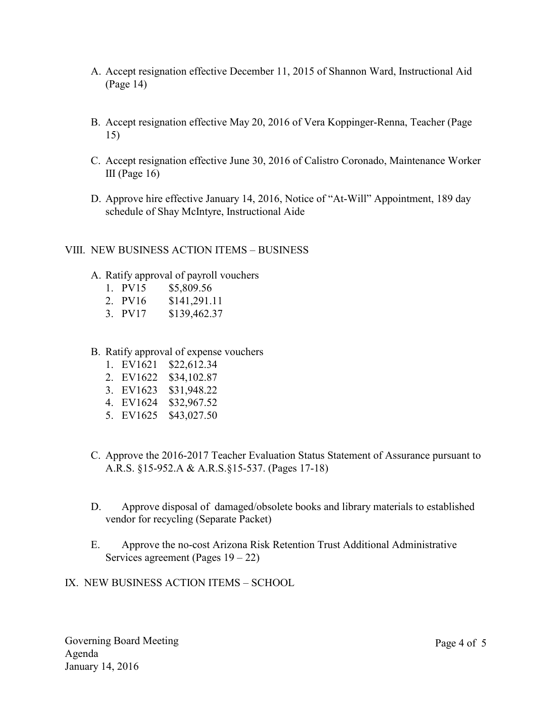- A. Accept resignation effective December 11, 2015 of Shannon Ward, Instructional Aid (Page 14)
- B. Accept resignation effective May 20, 2016 of Vera Koppinger-Renna, Teacher (Page 15)
- C. Accept resignation effective June 30, 2016 of Calistro Coronado, Maintenance Worker III (Page  $16$ )
- D. Approve hire effective January 14, 2016, Notice of "At-Will" Appointment, 189 day schedule of Shay McIntyre, Instructional Aide
- VIII. NEW BUSINESS ACTION ITEMS BUSINESS
	- A. Ratify approval of payroll vouchers
		- 1. PV15 \$5,809.56
		- 2. PV16 \$141,291.11
		- 3. PV17 \$139,462.37
	- B. Ratify approval of expense vouchers
		- 1. EV1621 \$22,612.34
		- 2. EV1622 \$34,102.87
		- 3. EV1623 \$31,948.22
		- 4. EV1624 \$32,967.52
		- 5. EV1625 \$43,027.50
	- C. Approve the 2016-2017 Teacher Evaluation Status Statement of Assurance pursuant to A.R.S. §15-952.A & A.R.S.§15-537. (Pages 17-18)
	- D. Approve disposal of damaged/obsolete books and library materials to established vendor for recycling (Separate Packet)
	- E. Approve the no-cost Arizona Risk Retention Trust Additional Administrative Services agreement (Pages  $19 - 22$ )

IX. NEW BUSINESS ACTION ITEMS – SCHOOL